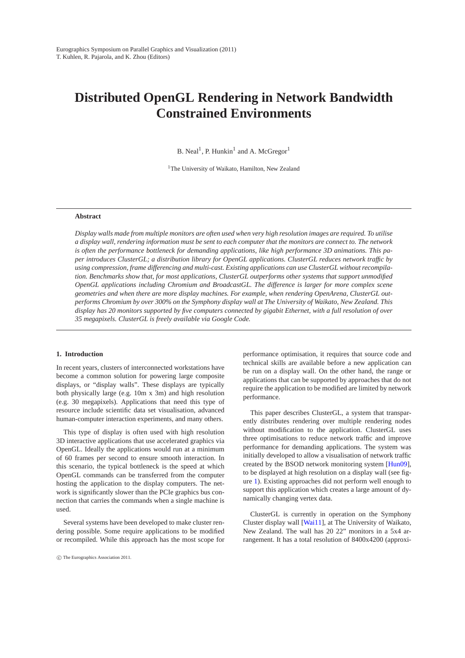# <span id="page-0-0"></span>**Distributed OpenGL Rendering in Network Bandwidth Constrained Environments**

B. Neal<sup>1</sup>, P. Hunkin<sup>1</sup> and A. McGregor<sup>1</sup>

<sup>1</sup>The University of Waikato, Hamilton, New Zealand

#### **Abstract**

*Display walls made from multiple monitors are often used when very high resolution images are required. To utilise a display wall, rendering information must be sent to each computer that the monitors are connect to. The network is often the performance bottleneck for demanding applications, like high performance 3D animations. This paper introduces ClusterGL; a distribution library for OpenGL applications. ClusterGL reduces network traffic by* using compression, frame differencing and multi-cast. Existing applications can use ClusterGL without recompila*tion. Benchmarks show that, for most applications, ClusterGL outperforms other systems that support unmodified OpenGL applications including Chromium and BroadcastGL. The difference is larger for more complex scene geometries and when there are more display machines. For example, when rendering OpenArena, ClusterGL outperforms Chromium by over 300% on the Symphony display wall at The University of Waikato, New Zealand. This display has 20 monitors supported by five computers connected by gigabit Ethernet, with a full resolution of over 35 megapixels. ClusterGL is freely available via Google Code.*

# **1. Introduction**

In recent years, clusters of interconnected workstations have become a common solution for powering large composite displays, or "display walls". These displays are typically both physically large (e.g. 10m x 3m) and high resolution (e.g. 30 megapixels). Applications that need this type of resource include scientific data set visualisation, advanced human-computer interaction experiments, and many others.

This type of display is often used with high resolution 3D interactive applications that use accelerated graphics via OpenGL. Ideally the applications would run at a minimum of 60 frames per second to ensure smooth interaction. In this scenario, the typical bottleneck is the speed at which OpenGL commands can be transferred from the computer hosting the application to the display computers. The network is significantly slower than the PCIe graphics bus connection that carries the commands when a single machine is used.

Several systems have been developed to make cluster rendering possible. Some require applications to be modified or recompiled. While this approach has the most scope for

performance optimisation, it requires that source code and technical skills are available before a new application can be run on a display wall. On the other hand, the range or applications that can be supported by approaches that do not require the application to be modified are limited by network performance.

This paper describes ClusterGL, a system that transparently distributes rendering over multiple rendering nodes without modification to the application. ClusterGL uses three optimisations to reduce network traffic and improve performance for demanding applications. The system was initially developed to allow a visualisation of network traffic created by the BSOD network monitoring system [\[Hun09\]](#page-8-0), to be displayed at high resolution on a display wall (see figure [1\)](#page-1-0). Existing approaches did not perform well enough to support this application which creates a large amount of dynamically changing vertex data.

ClusterGL is currently in operation on the Symphony Cluster display wall [\[Wai11\]](#page-8-1), at The University of Waikato, New Zealand. The wall has 20 22" monitors in a 5x4 arrangement. It has a total resolution of 8400x4200 (approxi-

c The Eurographics Association 2011.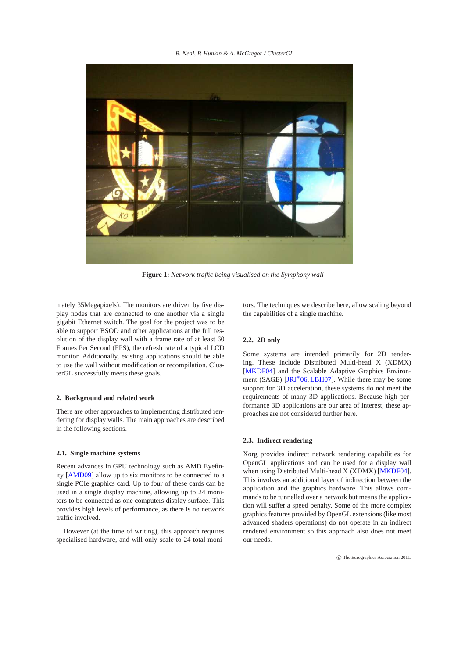<span id="page-1-1"></span>*B. Neal, P. Hunkin & A. McGregor / ClusterGL*



**Figure 1:** *Network traffic being visualised on the Symphony wall*

mately 35Megapixels). The monitors are driven by five display nodes that are connected to one another via a single gigabit Ethernet switch. The goal for the project was to be able to support BSOD and other applications at the full resolution of the display wall with a frame rate of at least 60 Frames Per Second (FPS), the refresh rate of a typical LCD monitor. Additionally, existing applications should be able to use the wall without modification or recompilation. ClusterGL successfully meets these goals.

# **2. Background and related work**

There are other approaches to implementing distributed rendering for display walls. The main approaches are described in the following sections.

# **2.1. Single machine systems**

Recent advances in GPU technology such as AMD Eyefinity [\[AMD09\]](#page-8-2) allow up to six monitors to be connected to a single PCIe graphics card. Up to four of these cards can be used in a single display machine, allowing up to 24 monitors to be connected as one computers display surface. This provides high levels of performance, as there is no network traffic involved.

However (at the time of writing), this approach requires specialised hardware, and will only scale to 24 total moni-

<span id="page-1-0"></span>tors. The techniques we describe here, allow scaling beyond the capabilities of a single machine.

# **2.2. 2D only**

Some systems are intended primarily for 2D rendering. These include Distributed Multi-head X (XDMX) [\[MKDF04\]](#page-8-3) and the Scalable Adaptive Graphics Environment (SAGE)  $[JRI^*06, LBH07]$  $[JRI^*06, LBH07]$ . While there may be some support for 3D acceleration, these systems do not meet the requirements of many 3D applications. Because high performance 3D applications are our area of interest, these approaches are not considered further here.

# **2.3. Indirect rendering**

Xorg provides indirect network rendering capabilities for OpenGL applications and can be used for a display wall when using Distributed Multi-head X (XDMX) [\[MKDF04\]](#page-8-3). This involves an additional layer of indirection between the application and the graphics hardware. This allows commands to be tunnelled over a network but means the application will suffer a speed penalty. Some of the more complex graphics features provided by OpenGL extensions (like most advanced shaders operations) do not operate in an indirect rendered environment so this approach also does not meet our needs.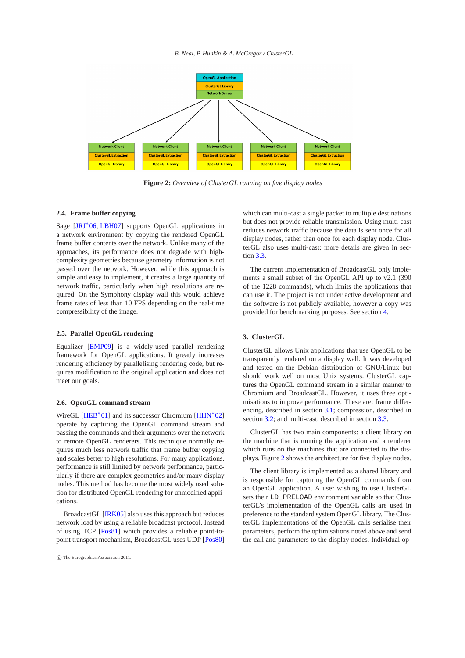<span id="page-2-1"></span>

<span id="page-2-0"></span>**Figure 2:** *Overview of ClusterGL running on five display nodes*

# **2.4. Frame buffer copying**

Sage [\[JRJ](#page-8-4)<sup>\*</sup>06, [LBH07\]](#page-8-5) supports OpenGL applications in a network environment by copying the rendered OpenGL frame buffer contents over the network. Unlike many of the approaches, its performance does not degrade with highcomplexity geometries because geometry information is not passed over the network. However, while this approach is simple and easy to implement, it creates a large quantity of network traffic, particularly when high resolutions are required. On the Symphony display wall this would achieve frame rates of less than 10 FPS depending on the real-time compressibility of the image.

# **2.5. Parallel OpenGL rendering**

Equalizer [\[EMP09\]](#page-8-6) is a widely-used parallel rendering framework for OpenGL applications. It greatly increases rendering efficiency by parallelising rendering code, but requires modification to the original application and does not meet our goals.

#### **2.6. OpenGL command stream**

WireGL [\[HEB](#page-8-7)<sup>\*</sup>01] and its successor Chromium [\[HHN](#page-8-8)<sup>\*</sup>02] operate by capturing the OpenGL command stream and passing the commands and their arguments over the network to remote OpenGL renderers. This technique normally requires much less network traffic that frame buffer copying and scales better to high resolutions. For many applications, performance is still limited by network performance, particularly if there are complex geometries and/or many display nodes. This method has become the most widely used solution for distributed OpenGL rendering for unmodified applications.

BroadcastGL [\[IRK05\]](#page-8-9) also uses this approach but reduces network load by using a reliable broadcast protocol. Instead of using TCP [\[Pos81\]](#page-8-10) which provides a reliable point-topoint transport mechanism, BroadcastGL uses UDP [\[Pos80\]](#page-8-11)

which can multi-cast a single packet to multiple destinations but does not provide reliable transmission. Using multi-cast reduces network traffic because the data is sent once for all display nodes, rather than once for each display node. ClusterGL also uses multi-cast; more details are given in section [3.3.](#page-4-0)

The current implementation of BroadcastGL only implements a small subset of the OpenGL API up to v2.1 (390 of the 1228 commands), which limits the applications that can use it. The project is not under active development and the software is not publicly available, however a copy was provided for benchmarking purposes. See section [4.](#page-4-1)

# **3. ClusterGL**

ClusterGL allows Unix applications that use OpenGL to be transparently rendered on a display wall. It was developed and tested on the Debian distribution of GNU/Linux but should work well on most Unix systems. ClusterGL captures the OpenGL command stream in a similar manner to Chromium and BroadcastGL. However, it uses three optimisations to improve performance. These are: frame differencing, described in section [3.1;](#page-3-0) compression, described in section [3.2;](#page-4-2) and multi-cast, described in section [3.3.](#page-4-0)

ClusterGL has two main components: a client library on the machine that is running the application and a renderer which runs on the machines that are connected to the displays. Figure [2](#page-2-0) shows the architecture for five display nodes.

The client library is implemented as a shared library and is responsible for capturing the OpenGL commands from an OpenGL application. A user wishing to use ClusterGL sets their LD\_PRELOAD environment variable so that ClusterGL's implementation of the OpenGL calls are used in preference to the standard system OpenGL library. The ClusterGL implementations of the OpenGL calls serialise their parameters, perform the optimisations noted above and send the call and parameters to the display nodes. Individual op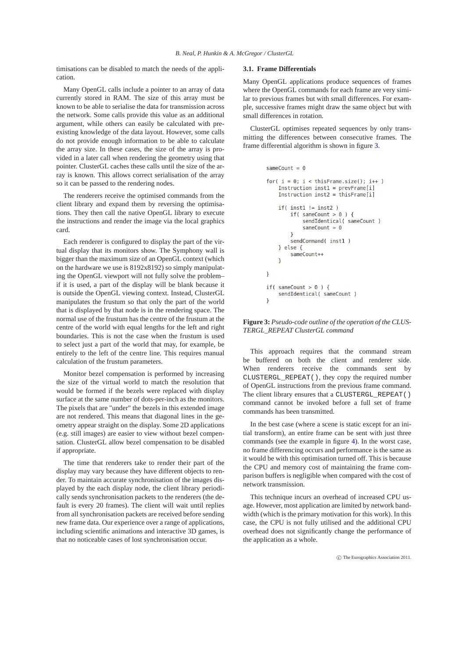timisations can be disabled to match the needs of the application.

Many OpenGL calls include a pointer to an array of data currently stored in RAM. The size of this array must be known to be able to serialise the data for transmission across the network. Some calls provide this value as an additional argument, while others can easily be calculated with preexisting knowledge of the data layout. However, some calls do not provide enough information to be able to calculate the array size. In these cases, the size of the array is provided in a later call when rendering the geometry using that pointer. ClusterGL caches these calls until the size of the array is known. This allows correct serialisation of the array so it can be passed to the rendering nodes.

The renderers receive the optimised commands from the client library and expand them by reversing the optimisations. They then call the native OpenGL library to execute the instructions and render the image via the local graphics card.

Each renderer is configured to display the part of the virtual display that its monitors show. The Symphony wall is bigger than the maximum size of an OpenGL context (which on the hardware we use is 8192x8192) so simply manipulating the OpenGL viewport will not fully solve the problem– if it is used, a part of the display will be blank because it is outside the OpenGL viewing context. Instead, ClusterGL manipulates the frustum so that only the part of the world that is displayed by that node is in the rendering space. The normal use of the frustum has the centre of the frustum at the centre of the world with equal lengths for the left and right boundaries. This is not the case when the frustum is used to select just a part of the world that may, for example, be entirely to the left of the centre line. This requires manual calculation of the frustum parameters.

Monitor bezel compensation is performed by increasing the size of the virtual world to match the resolution that would be formed if the bezels were replaced with display surface at the same number of dots-per-inch as the monitors. The pixels that are "under" the bezels in this extended image are not rendered. This means that diagonal lines in the geometry appear straight on the display. Some 2D applications (e.g. still images) are easier to view without bezel compensation. ClusterGL allow bezel compensation to be disabled if appropriate.

The time that renderers take to render their part of the display may vary because they have different objects to render. To maintain accurate synchronisation of the images displayed by the each display node, the client library periodically sends synchronisation packets to the renderers (the default is every 20 frames). The client will wait until replies from all synchronisation packets are received before sending new frame data. Our experience over a range of applications, including scientific animations and interactive 3D games, is that no noticeable cases of lost synchronisation occur.

## <span id="page-3-0"></span>**3.1. Frame Differentials**

Many OpenGL applications produce sequences of frames where the OpenGL commands for each frame are very similar to previous frames but with small differences. For example, successive frames might draw the same object but with small differences in rotation.

ClusterGL optimises repeated sequences by only transmitting the differences between consecutive frames. The frame differential algorithm is shown in figure [3.](#page-3-1)

```
sameCount = \thetafor(i = 0; i < thisFrame.size(); i++)Instruction inst1 = prevFrame[i]Instruction inst2 = thisFrame[i]
     if(inst1 != inst2)if( sameCount > 0 ) {
              sendIdentical( sameCount )
              sameCount = \thetasendCommand( inst1)
     } else \{sameCount++
     \overline{\mathcal{E}}\mathcal{E}if( sameCount > 0 ) {
     sendIdentical(sameCount)
\overline{\mathbf{1}}
```
<span id="page-3-1"></span>**Figure 3:** *Pseudo-code outline of the operation of the CLUS-TERGL\_REPEAT ClusterGL command*

This approach requires that the command stream be buffered on both the client and renderer side. When renderers receive the commands sent by CLUSTERGL\_REPEAT(), they copy the required number of OpenGL instructions from the previous frame command. The client library ensures that a CLUSTERGL\_REPEAT() command cannot be invoked before a full set of frame commands has been transmitted.

In the best case (where a scene is static except for an initial transform), an entire frame can be sent with just three commands (see the example in figure [4\)](#page-4-3). In the worst case, no frame differencing occurs and performance is the same as it would be with this optimisation turned off. This is because the CPU and memory cost of maintaining the frame comparison buffers is negligible when compared with the cost of network transmission.

This technique incurs an overhead of increased CPU usage. However, most application are limited by network bandwidth (which is the primary motivation for this work). In this case, the CPU is not fully utilised and the additional CPU overhead does not significantly change the performance of the application as a whole.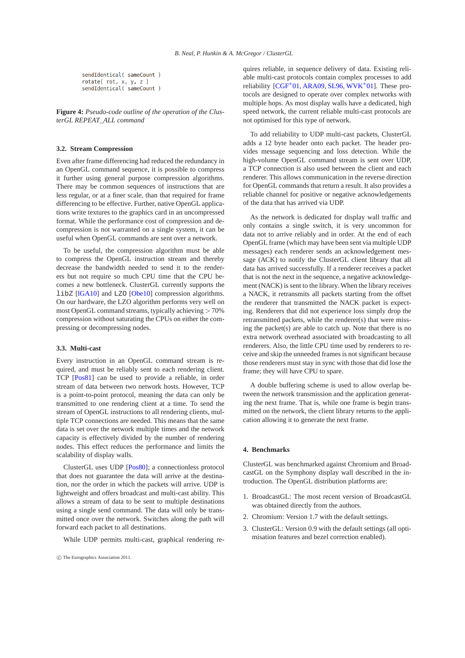<span id="page-4-4"></span>sendIdentical( sameCount )  $rotate(rot, x, y, z)$ sendIdentical( sameCount )

<span id="page-4-3"></span>**Figure 4:** *Pseudo-code outline of the operation of the ClusterGL REPEAT\_ALL command*

# <span id="page-4-2"></span>**3.2. Stream Compression**

Even after frame differencing had reduced the redundancy in an OpenGL command sequence, it is possible to compress it further using general purpose compression algorithms. There may be common sequences of instructions that are less regular, or at a finer scale, than that required for frame differencing to be effective. Further, native OpenGL applications write textures to the graphics card in an uncompressed format. While the performance cost of compression and decompression is not warranted on a single system, it can be useful when OpenGL commands are sent over a network.

To be useful, the compression algorithm must be able to compress the OpenGL instruction stream and thereby decrease the bandwidth needed to send it to the renderers but not require so much CPU time that the CPU becomes a new bottleneck. ClusterGL currently supports the libZ [\[lGA10\]](#page-8-12) and LZO [\[Obe10\]](#page-8-13) compression algorithms. On our hardware, the LZO algorithm performs very well on most OpenGL command streams, typically achieving > 70% compression without saturating the CPUs on either the compressing or decompressing nodes.

# <span id="page-4-0"></span>**3.3. Multi-cast**

Every instruction in an OpenGL command stream is required, and must be reliably sent to each rendering client. TCP [\[Pos81\]](#page-8-10) can be used to provide a reliable, in order stream of data between two network hosts. However, TCP is a point-to-point protocol, meaning the data can only be transmitted to one rendering client at a time. To send the stream of OpenGL instructions to all rendering clients, multiple TCP connections are needed. This means that the same data is set over the network multiple times and the network capacity is effectively divided by the number of rendering nodes. This effect reduces the performance and limits the scalability of display walls.

ClusterGL uses UDP [\[Pos80\]](#page-8-11); a connectionless protocol that does not guarantee the data will arrive at the destination, nor the order in which the packets will arrive. UDP is lightweight and offers broadcast and multi-cast ability. This allows a stream of data to be sent to multiple destinations using a single send command. The data will only be transmitted once over the network. Switches along the path will forward each packet to all destinations.

While UDP permits multi-cast, graphical rendering re-

quires reliable, in sequence delivery of data. Existing reliable multi-cast protocols contain complex processes to add reliability [\[CGF](#page-8-14)<sup>\*</sup>01, [ARA09,](#page-8-15) [SL96,](#page-8-16) [WVK](#page-8-17)<sup>\*</sup>01]. These protocols are designed to operate over complex networks with multiple hops. As most display walls have a dedicated, high speed network, the current reliable multi-cast protocols are not optimised for this type of network.

To add reliability to UDP multi-cast packets, ClusterGL adds a 12 byte header onto each packet. The header provides message sequencing and loss detection. While the high-volume OpenGL command stream is sent over UDP, a TCP connection is also used between the client and each renderer. This allows communication in the reverse direction for OpenGL commands that return a result. It also provides a reliable channel for positive or negative acknowledgements of the data that has arrived via UDP.

As the network is dedicated for display wall traffic and only contains a single switch, it is very uncommon for data not to arrive reliably and in order. At the end of each OpenGL frame (which may have been sent via multiple UDP messages) each renderer sends an acknowledgement message (ACK) to notify the ClusterGL client library that all data has arrived successfully. If a renderer receives a packet that is not the next in the sequence, a negative acknowledgement (NACK) is sent to the library. When the library receives a NACK, it retransmits all packets starting from the offset the renderer that transmitted the NACK packet is expecting. Renderers that did not experience loss simply drop the retransmitted packets, while the renderer(s) that were missing the packet(s) are able to catch up. Note that there is no extra network overhead associated with broadcasting to all renderers. Also, the little CPU time used by renderers to receive and skip the unneeded frames is not significant because those renderers must stay in sync with those that did lose the frame; they will have CPU to spare.

A double buffering scheme is used to allow overlap between the network transmission and the application generating the next frame. That is, while one frame is begin transmitted on the network, the client library returns to the application allowing it to generate the next frame.

# <span id="page-4-1"></span>**4. Benchmarks**

ClusterGL was benchmarked against Chromium and BroadcastGL on the Symphony display wall described in the introduction. The OpenGL distribution platforms are:

- 1. BroadcastGL: The most recent version of BroadcastGL was obtained directly from the authors.
- 2. Chromium: Version 1.7 with the default settings.
- 3. ClusterGL: Version 0.9 with the default settings (all optimisation features and bezel correction enabled).

c The Eurographics Association 2011.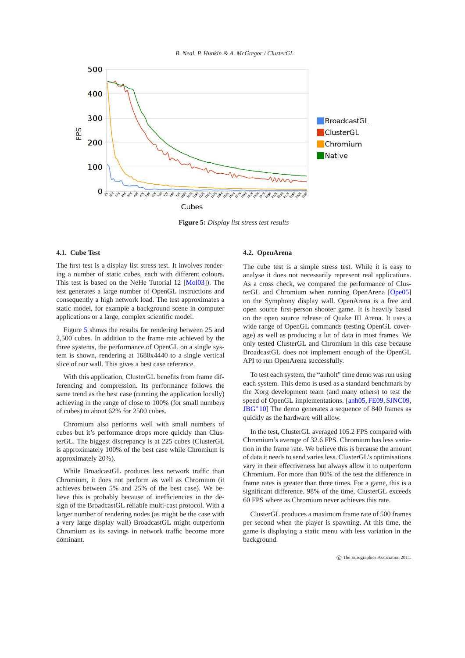*B. Neal, P. Hunkin & A. McGregor / ClusterGL*

<span id="page-5-1"></span>

<span id="page-5-0"></span>**Figure 5:** *Display list stress test results*

# **4.1. Cube Test**

The first test is a display list stress test. It involves rendering a number of static cubes, each with different colours. This test is based on the NeHe Tutorial 12 [\[Mol03\]](#page-8-18)). The test generates a large number of OpenGL instructions and consequently a high network load. The test approximates a static model, for example a background scene in computer applications or a large, complex scientific model.

Figure [5](#page-5-0) shows the results for rendering between 25 and 2,500 cubes. In addition to the frame rate achieved by the three systems, the performance of OpenGL on a single system is shown, rendering at 1680x4440 to a single vertical slice of our wall. This gives a best case reference.

With this application, ClusterGL benefits from frame differencing and compression. Its performance follows the same trend as the best case (running the application locally) achieving in the range of close to 100% (for small numbers of cubes) to about 62% for 2500 cubes.

Chromium also performs well with small numbers of cubes but it's performance drops more quickly than ClusterGL. The biggest discrepancy is at 225 cubes (ClusterGL is approximately 100% of the best case while Chromium is approximately 20%).

While BroadcastGL produces less network traffic than Chromium, it does not perform as well as Chromium (it achieves between 5% and 25% of the best case). We believe this is probably because of inefficiencies in the design of the BroadcastGL reliable multi-cast protocol. With a larger number of rendering nodes (as might be the case with a very large display wall) BroadcastGL might outperform Chromium as its savings in network traffic become more dominant.

# **4.2. OpenArena**

The cube test is a simple stress test. While it is easy to analyse it does not necessarily represent real applications. As a cross check, we compared the performance of ClusterGL and Chromium when running OpenArena [\[Ope05\]](#page-8-19) on the Symphony display wall. OpenArena is a free and open source first-person shooter game. It is heavily based on the open source release of Quake III Arena. It uses a wide range of OpenGL commands (testing OpenGL coverage) as well as producing a lot of data in most frames. We only tested ClusterGL and Chromium in this case because BroadcastGL does not implement enough of the OpenGL API to run OpenArena successfully.

To test each system, the "anholt" time demo was run using each system. This demo is used as a standard benchmark by the Xorg development team (and many others) to test the speed of OpenGL implementations. [\[anh05,](#page-8-20) [FE09,](#page-8-21) [SJNC09,](#page-8-22) [JBG](#page-8-23)<sup>∗</sup> 10] The demo generates a sequence of 840 frames as quickly as the hardware will allow.

In the test, ClusterGL averaged 105.2 FPS compared with Chromium's average of 32.6 FPS. Chromium has less variation in the frame rate. We believe this is because the amount of data it needs to send varies less. ClusterGL's optimisations vary in their effectiveness but always allow it to outperform Chromium. For more than 80% of the test the difference in frame rates is greater than three times. For a game, this is a significant difference. 98% of the time, ClusterGL exceeds 60 FPS where as Chromium never achieves this rate.

ClusterGL produces a maximum frame rate of 500 frames per second when the player is spawning. At this time, the game is displaying a static menu with less variation in the background.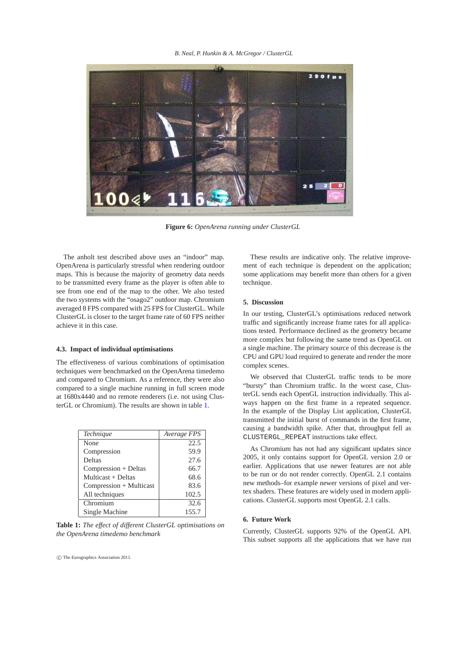#### *B. Neal, P. Hunkin & A. McGregor / ClusterGL*



**Figure 6:** *OpenArena running under ClusterGL*

The anholt test described above uses an "indoor" map. OpenArena is particularly stressful when rendering outdoor maps. This is because the majority of geometry data needs to be transmitted every frame as the player is often able to see from one end of the map to the other. We also tested the two systems with the "osago2" outdoor map. Chromium averaged 8 FPS compared with 25 FPS for ClusterGL. While ClusterGL is closer to the target frame rate of 60 FPS neither achieve it in this case.

## **4.3. Impact of individual optimisations**

The effectiveness of various combinations of optimisation techniques were benchmarked on the OpenArena timedemo and compared to Chromium. As a reference, they were also compared to a single machine running in full screen mode at 1680x4440 and no remote renderers (i.e. not using ClusterGL or Chromium). The results are shown in table [1.](#page-6-0)

| Technique               | Average FPS |
|-------------------------|-------------|
| None                    | 22.5        |
| Compression             | 59.9        |
| Deltas                  | 27.6        |
| Compression + Deltas    | 66.7        |
| Multicast + Deltas      | 68.6        |
| Compression + Multicast | 83.6        |
| All techniques          | 102.5       |
| Chromium                | 32.6        |
| Single Machine          | 155.7       |

<span id="page-6-0"></span>**Table 1:** *The effect of different ClusterGL optimisations on the OpenArena timedemo benchmark*

c The Eurographics Association 2011.

These results are indicative only. The relative improvement of each technique is dependent on the application; some applications may benefit more than others for a given technique.

## **5. Discussion**

In our testing, ClusterGL's optimisations reduced network traffic and significantly increase frame rates for all applications tested. Performance declined as the geometry became more complex but following the same trend as OpenGL on a single machine. The primary source of this decrease is the CPU and GPU load required to generate and render the more complex scenes.

We observed that ClusterGL traffic tends to be more "bursty" than Chromium traffic. In the worst case, ClusterGL sends each OpenGL instruction individually. This always happen on the first frame in a repeated sequence. In the example of the Display List application, ClusterGL transmitted the initial burst of commands in the first frame, causing a bandwidth spike. After that, throughput fell as CLUSTERGL\_REPEAT instructions take effect.

As Chromium has not had any significant updates since 2005, it only contains support for OpenGL version 2.0 or earlier. Applications that use newer features are not able to be run or do not render correctly. OpenGL 2.1 contains new methods–for example newer versions of pixel and vertex shaders. These features are widely used in modern applications. ClusterGL supports most OpenGL 2.1 calls.

# **6. Future Work**

Currently, ClusterGL supports 92% of the OpenGL API. This subset supports all the applications that we have run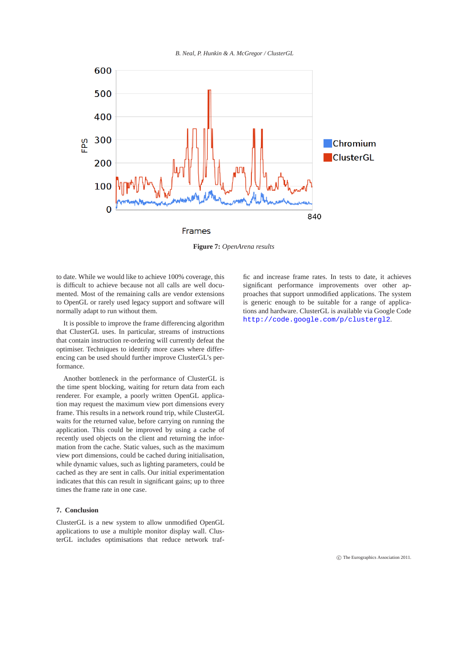*B. Neal, P. Hunkin & A. McGregor / ClusterGL*



**Figure 7:** *OpenArena results*

to date. While we would like to achieve 100% coverage, this is difficult to achieve because not all calls are well documented. Most of the remaining calls are vendor extensions to OpenGL or rarely used legacy support and software will normally adapt to run without them.

It is possible to improve the frame differencing algorithm that ClusterGL uses. In particular, streams of instructions that contain instruction re-ordering will currently defeat the optimiser. Techniques to identify more cases where differencing can be used should further improve ClusterGL's performance.

Another bottleneck in the performance of ClusterGL is the time spent blocking, waiting for return data from each renderer. For example, a poorly written OpenGL application may request the maximum view port dimensions every frame. This results in a network round trip, while ClusterGL waits for the returned value, before carrying on running the application. This could be improved by using a cache of recently used objects on the client and returning the information from the cache. Static values, such as the maximum view port dimensions, could be cached during initialisation, while dynamic values, such as lighting parameters, could be cached as they are sent in calls. Our initial experimentation indicates that this can result in significant gains; up to three times the frame rate in one case.

# **7. Conclusion**

ClusterGL is a new system to allow unmodified OpenGL applications to use a multiple monitor display wall. ClusterGL includes optimisations that reduce network traf-

fic and increase frame rates. In tests to date, it achieves significant performance improvements over other approaches that support unmodified applications. The system is generic enough to be suitable for a range of applications and hardware. ClusterGL is available via Google Code <http://code.google.com/p/clustergl2>.

c The Eurographics Association 2011.